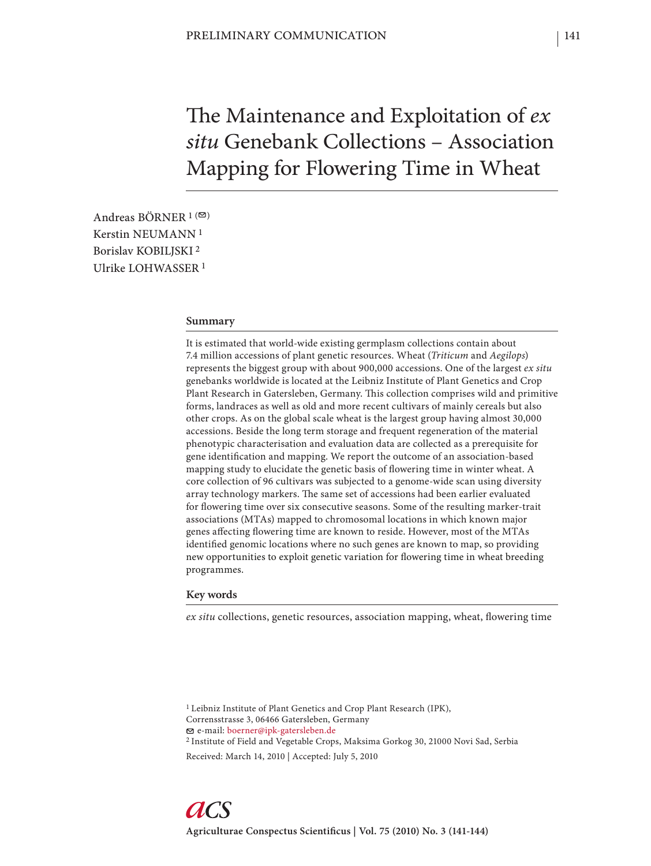The Maintenance and Exploitation of *ex situ* Genebank Collections – Association Mapping for Flowering Time in Wheat

Andreas BÖRNER  $1$  ( $\heartsuit$ ) Kerstin NEUMANN 1 Borislav KOBILJSKI 2 Ulrike LOHWASSER 1

#### **Summary**

It is estimated that world-wide existing germplasm collections contain about 7.4 million accessions of plant genetic resources. Wheat (*Triticum* and *Aegilops*) represents the biggest group with about 900,000 accessions. One of the largest *ex situ* genebanks worldwide is located at the Leibniz Institute of Plant Genetics and Crop Plant Research in Gatersleben, Germany. This collection comprises wild and primitive forms, landraces as well as old and more recent cultivars of mainly cereals but also other crops. As on the global scale wheat is the largest group having almost 30,000 accessions. Beside the long term storage and frequent regeneration of the material phenotypic characterisation and evaluation data are collected as a prerequisite for gene identification and mapping. We report the outcome of an association-based mapping study to elucidate the genetic basis of flowering time in winter wheat. A core collection of 96 cultivars was subjected to a genome-wide scan using diversity array technology markers. The same set of accessions had been earlier evaluated for flowering time over six consecutive seasons. Some of the resulting marker-trait associations (MTAs) mapped to chromosomal locations in which known major genes affecting flowering time are known to reside. However, most of the MTAs identified genomic locations where no such genes are known to map, so providing new opportunities to exploit genetic variation for flowering time in wheat breeding programmes.

### **Key words**

*ex situ* collections, genetic resources, association mapping, wheat, flowering time

1 Leibniz Institute of Plant Genetics and Crop Plant Research (IPK), Corrensstrasse 3, 06466 Gatersleben, Germany e-mail: boerner@ipk-gatersleben.de

2 Institute of Field and Vegetable Crops, Maksima Gorkog 30, 21000 Novi Sad, Serbia Received: March 14, 2010 | Accepted: July 5, 2010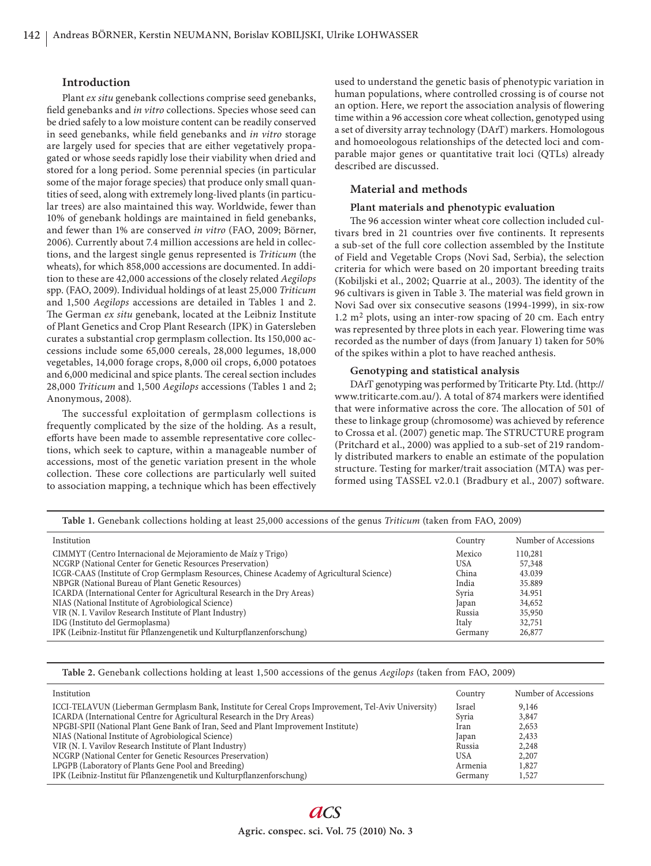### **Introduction**

Plant *ex situ* genebank collections comprise seed genebanks, field genebanks and *in vitro* collections. Species whose seed can be dried safely to a low moisture content can be readily conserved in seed genebanks, while field genebanks and *in vitro* storage are largely used for species that are either vegetatively propagated or whose seeds rapidly lose their viability when dried and stored for a long period. Some perennial species (in particular some of the major forage species) that produce only small quantities of seed, along with extremely long-lived plants (in particular trees) are also maintained this way. Worldwide, fewer than 10% of genebank holdings are maintained in field genebanks, and fewer than 1% are conserved *in vitro* (FAO, 2009; Börner, 2006). Currently about 7.4 million accessions are held in collections, and the largest single genus represented is *Triticum* (the wheats), for which 858,000 accessions are documented. In addition to these are 42,000 accessions of the closely related *Aegilops* spp. (FAO, 2009). Individual holdings of at least 25,000 *Triticum*  and 1,500 *Aegilops* accessions are detailed in Tables 1 and 2. The German *ex situ* genebank, located at the Leibniz Institute of Plant Genetics and Crop Plant Research (IPK) in Gatersleben curates a substantial crop germplasm collection. Its 150,000 accessions include some 65,000 cereals, 28,000 legumes, 18,000 vegetables, 14,000 forage crops, 8,000 oil crops, 6,000 potatoes and 6,000 medicinal and spice plants. The cereal section includes 28,000 *Triticum* and 1,500 *Aegilops* accessions (Tables 1 and 2; Anonymous, 2008).

The successful exploitation of germplasm collections is frequently complicated by the size of the holding. As a result, efforts have been made to assemble representative core collections, which seek to capture, within a manageable number of accessions, most of the genetic variation present in the whole collection. These core collections are particularly well suited to association mapping, a technique which has been effectively

used to understand the genetic basis of phenotypic variation in human populations, where controlled crossing is of course not an option. Here, we report the association analysis of flowering time within a 96 accession core wheat collection, genotyped using a set of diversity array technology (DArT) markers. Homologous and homoeologous relationships of the detected loci and comparable major genes or quantitative trait loci (QTLs) already described are discussed.

# **Material and methods**

#### **Plant materials and phenotypic evaluation**

The 96 accession winter wheat core collection included cultivars bred in 21 countries over five continents. It represents a sub-set of the full core collection assembled by the Institute of Field and Vegetable Crops (Novi Sad, Serbia), the selection criteria for which were based on 20 important breeding traits (Kobiljski et al., 2002; Quarrie at al., 2003). The identity of the 96 cultivars is given in Table 3. The material was field grown in Novi Sad over six consecutive seasons (1994-1999), in six-row 1.2 m2 plots, using an inter-row spacing of 20 cm. Each entry was represented by three plots in each year. Flowering time was recorded as the number of days (from January 1) taken for 50% of the spikes within a plot to have reached anthesis.

## **Genotyping and statistical analysis**

DArT genotyping was performed by Triticarte Pty. Ltd. (http:// www.triticarte.com.au/). A total of 874 markers were identified that were informative across the core. The allocation of 501 of these to linkage group (chromosome) was achieved by reference to Crossa et al. (2007) genetic map. The STRUCTURE program (Pritchard et al., 2000) was applied to a sub-set of 219 randomly distributed markers to enable an estimate of the population structure. Testing for marker/trait association (MTA) was performed using TASSEL v2.0.1 (Bradbury et al., 2007) software.

| Table 1. Genebank collections holding at least 25,000 accessions of the genus Triticum (taken from FAO, 2009) |         |                      |  |
|---------------------------------------------------------------------------------------------------------------|---------|----------------------|--|
| Institution                                                                                                   | Country | Number of Accessions |  |
| CIMMYT (Centro Internacional de Mejoramiento de Maíz y Trigo)                                                 | Mexico  | 110,281              |  |
| NCGRP (National Center for Genetic Resources Preservation)                                                    | USA     | 57,348               |  |
| ICGR-CAAS (Institute of Crop Germplasm Resources, Chinese Academy of Agricultural Science)                    | China   | 43.039               |  |
| NBPGR (National Bureau of Plant Genetic Resources)                                                            | India   | 35.889               |  |
| ICARDA (International Center for Agricultural Research in the Dry Areas)                                      | Syria   | 34.951               |  |
| NIAS (National Institute of Agrobiological Science)                                                           | Japan   | 34,652               |  |
| VIR (N. I. Vavilov Research Institute of Plant Industry)                                                      | Russia  | 35,950               |  |
| IDG (Instituto del Germoplasma)                                                                               | Italy   | 32,751               |  |
| IPK (Leibniz-Institut für Pflanzengenetik und Kulturpflanzenforschung)                                        | Germany | 26,877               |  |

**Table 2.** Genebank collections holding at least 1,500 accessions of the genus *Aegilops* (taken from FAO, 2009)

| Institution                                                                                          | Country    | Number of Accessions |
|------------------------------------------------------------------------------------------------------|------------|----------------------|
| ICCI-TELAVUN (Lieberman Germplasm Bank, Institute for Cereal Crops Improvement, Tel-Aviv University) | Israel     | 9,146                |
| ICARDA (International Centre for Agricultural Research in the Dry Areas)                             | Svria      | 3,847                |
| NPGBI-SPII (National Plant Gene Bank of Iran, Seed and Plant Improvement Institute)                  | Iran       | 2,653                |
| NIAS (National Institute of Agrobiological Science)                                                  | Japan      | 2,433                |
| VIR (N. I. Vavilov Research Institute of Plant Industry)                                             | Russia     | 2.248                |
| NCGRP (National Center for Genetic Resources Preservation)                                           | <b>USA</b> | 2,207                |
| LPGPB (Laboratory of Plants Gene Pool and Breeding)                                                  | Armenia    | 1,827                |
| IPK (Leibniz-Institut für Pflanzengenetik und Kulturpflanzenforschung)                               | Germany    | 1,527                |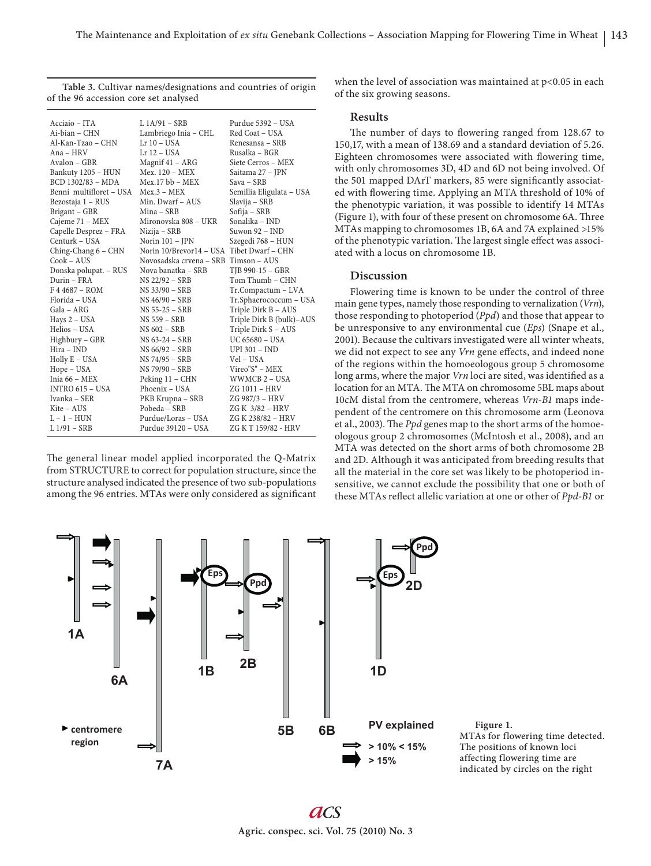Acciaio – ITA L 1A/91 – SRB Purdue 5392 – USA<br>Ai-bian – CHN Lambriego Inia – CHL Red Coat – USA Lambriego Inia – CHL Red Coat – USA<br>Lr 10 – USA Renesansa – SRB Al-Kan-Tzao – CHN Lr 10 – USA<br>Ana – HRV Lr 12 – USA Ana – HRV Lr 12 – USA Rusalka – BGR<br>Avalon – GBR Magnif 41 – ARG Siete Cerros – 1 Magnif 41 – ARG Siete Cerros – MEX Mex. 120 – MEX Saitama 27 – JPN Bankuty 1205 – HUN Mex. 120 – MEX Saitama 27<br>BCD 1302/83 – MDA Mex. 17 bb – MEX Sava – SRB BCD 1302/83 – MDA Mex.17 bb – MEX Sava – SRB<br>Benni multifloret – USA Mex.3 – MEX Semillia Eligulata – USA Benni multifloret – USA Mex.3 – MEX Semillia Eligu<br>Bezostaja 1 – RUS Min. Dwarf – AUS Slavija – SRB Min. Dwarf – AUS Slavija – SRB<br>Mina – SRB Sofija – SRB Brigant – GBR Mina – SRB Sofija – SRB Mironovska 808 – UKR Sonalika – IND<br>Nizija – SRB Suwon 92 – IND Capelle Desprez – FRA Nizija – SRB<br>Centurk – USA – Norin 101 – IPN Centurk – USA Norin 101 – JPN Szegedi 768 – HUN Ching-Chang 6 – CHN Norin 10/Brevor14 – USA Tibet Dwarf – CHN<br>Cook – AUS Novosadska crvena – SRB Timson – AUS Novosadska crvena – SRB Timson – AUS<br>Nova banatka – SRB TIB 990-15 – GBR Donska polupat. – RUS Nova banatka –<br>Durin – FRA NS 22/92 – SRB Durin – FRA NS 22/92 – SRB Tom Thumb – CHN F 4 4687 – ROM NS 33/90 – SRB Tr.Compactum – LVA Florida – USA NS 46/90 – SRB Tr.Sphaerococcum – USA Gala – ARG NS 55-25 – SRB Triple Dirk B – AUS Hays 2 – USA NS 559 – SRB Triple Dirk B (bulk)–AUS Triple Dirk S – AUS<br>UC 65680 – USA Highbury – GBR NS 63-24 – SRB UC 65680 – US<br>
Hira – IND NS 66/92 – SRB UPI 301 – IND NS 66/92 – SRB UPI 301 –<br>NS 74/95 – SRB Vel – USA Holly E – USA NS 74/95 – SRB<br>Hope – USA NS 79/90 – SRB Hope – USA NS 79/90 – SRB Vireo"S" – MEX<br>
Inia 66 – MEX Peking 11 – CHN WWMCB 2 – USA Peking 11 – CHN WWMCB 2 – U<br>Phoenix – USA – ZG 1011 – HRV INTRO 615 – USA Phoenix – USA ZG 1011 – HRV<br>Ivanka – SER PKB Krupna – SRB ZG 987/3 – HRV Ivanka – SER PKB Krupna – SRB<br>Kite – AUS – Pobeda – SRB Kite – AUS Pobeda – SRB ZG K 3/82 – HRV L – 1 – HUN Purdue/Loras – USA ZG K 238/82 – HRV L – 1 – HUN Purdue/Loras – USA<br>L 1/91 – SRB Purdue 39120 – USA ZG K T 159/82 - HRV **Table 3.** Cultivar names/designations and countries of origin of the 96 accession core set analysed

The general linear model applied incorporated the Q-Matrix from STRUCTURE to correct for population structure, since the structure analysed indicated the presence of two sub-populations among the 96 entries. MTAs were only considered as significant when the level of association was maintained at  $p<0.05$  in each of the six growing seasons.

#### **Results**

The number of days to flowering ranged from 128.67 to 150,17, with a mean of 138.69 and a standard deviation of 5.26. Eighteen chromosomes were associated with flowering time, with only chromosomes 3D, 4D and 6D not being involved. Of the 501 mapped DArT markers, 85 were significantly associated with flowering time. Applying an MTA threshold of 10% of the phenotypic variation, it was possible to identify 14 MTAs (Figure 1), with four of these present on chromosome 6A. Three MTAs mapping to chromosomes 1B, 6A and 7A explained >15% of the phenotypic variation. The largest single effect was associated with a locus on chromosome 1B.

## **Discussion**

Flowering time is known to be under the control of three main gene types, namely those responding to vernalization (*Vrn*), those responding to photoperiod (*Ppd*) and those that appear to be unresponsive to any environmental cue (*Eps*) (Snape et al., 2001). Because the cultivars investigated were all winter wheats, we did not expect to see any *Vrn* gene effects, and indeed none of the regions within the homoeologous group 5 chromosome long arms, where the major *Vrn* loci are sited, was identified as a location for an MTA. The MTA on chromosome 5BL maps about 10cM distal from the centromere, whereas *Vrn-B1* maps independent of the centromere on this chromosome arm (Leonova et al., 2003). The *Ppd* genes map to the short arms of the homoeologous group 2 chromosomes (McIntosh et al., 2008), and an MTA was detected on the short arms of both chromosome 2B and 2D. Although it was anticipated from breeding results that all the material in the core set was likely to be photoperiod insensitive, we cannot exclude the possibility that one or both of these MTAs reflect allelic variation at one or other of *Ppd-B1* or





**Figure 1.**  MTAs for flowering time detected. The positions of known loci affecting flowering time are indicated by circles on the right